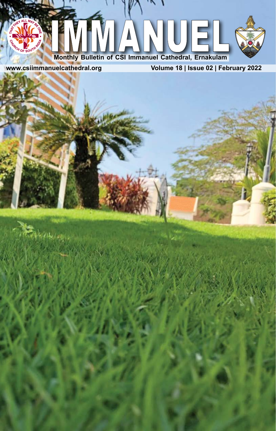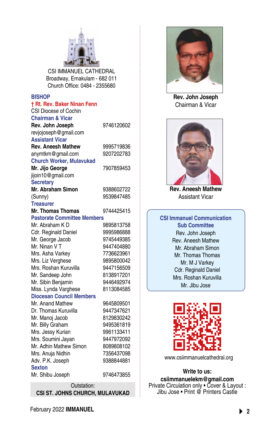

CSI IMMANUEL CATHEDRAL Broadway, Ernakulam - 682 011 Church Office: 0484 - 2355680

#### **BISHOP**

| 9746120602                         |
|------------------------------------|
|                                    |
|                                    |
| 9995719836                         |
| 9207202783                         |
|                                    |
| 7907859453                         |
|                                    |
|                                    |
| 9388602722                         |
| 9539847485                         |
|                                    |
| 9744425415                         |
| <b>Pastorate Committee Members</b> |
| 9895813758                         |
| 9995986888                         |
| 9745449385                         |
| 9447404880                         |
| 7736623961                         |
| 9895800042                         |
| 9447156509                         |
| 8138917201                         |
| 9446492974                         |
| 8113084585                         |
|                                    |
| 9645809501                         |
| 9447347621                         |
| 8129830242                         |
| 9495361819                         |
| 9961133411                         |
| 9447972092                         |
| 8089808102                         |
| 7356437098                         |
| 9388844881                         |
|                                    |
| 9746473855                         |
|                                    |

Outstation: **CSI ST. JOHNS CHURCH, MULAVUKAD**

February 2022 **IMMANUEL 2**



**Rev. John Joseph** Chairman & Vicar



**Rev. Aneesh Mathew** Assistant Vicar

**CSI Immanuel Communication Sub Committee** Rev. John Joseph Rev. Aneesh Mathew Mr. Abraham Simon Mr. Thomas Thomas Mr. M J Varkey Cdr. Reginald Daniel Mrs. Roshan Kuruvilla Mr. Jibu Jose



[www.csiimmanuelcathedral.org](http://www.csiimmanuelcathedral.org)

**Write to us: csiimmanuelekm@gmail.com** Private Circulation only • Cover & Layout : Jibu Jose • Print @ Printers Castle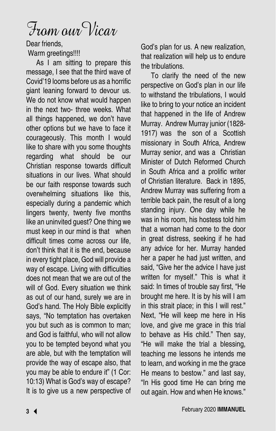From our Vicar

Dear friends,

Warm greetings!!!!

As I am sitting to prepare this message, I see that the third wave of Covid'19 looms before us as a horrific giant leaning forward to devour us. We do not know what would happen in the next two- three weeks. What all things happened, we don't have other options but we have to face it courageously. This month I would like to share with you some thoughts regarding what should be our Christian response towards difficult situations in our lives. What should be our faith response towards such overwhelming situations like this, especially during a pandemic which lingers twenty, twenty five months like an uninvited guest? One thing we must keep in our mind is that when difficult times come across our life, don't think that it is the end, because in every tight place, God will provide a way of escape. Living with difficulties does not mean that we are out of the will of God. Every situation we think as out of our hand, surely we are in God's hand. The Holy Bible explicitly says, "No temptation has overtaken you but such as is common to man; and God is faithful, who will not allow you to be tempted beyond what you are able, but with the temptation will provide the way of escape also, that you may be able to endure it" (1 Cor: 10:13) What is God's way of escape? It is to give us a new perspective of

God's plan for us. A new realization, that realization will help us to endure the tribulations.

To clarify the need of the new perspective on God's plan in our life to withstand the tribulations, I would like to bring to your notice an incident that happened in the life of Andrew Murray. Andrew Murray junior (1828-1917) was the son of a Scottish missionary in South Africa, Andrew Murray senior, and was a Christian Minister of Dutch Reformed Church in South Africa and a prolific writer of Christian literature. Back in 1895, Andrew Murray was suffering from a terrible back pain, the result of a long standing injury. One day while he was in his room, his hostess told him that a woman had come to the door in great distress, seeking if he had any advice for her. Murray handed her a paper he had just written, and said, "Give her the advice I have just written for myself." This is what it said: In times of trouble say first, "He brought me here. It is by his will I am in this strait place; in this I will rest." Next, "He will keep me here in His love, and give me grace in this trial to behave as His child." Then say, "He will make the trial a blessing, teaching me lessons he intends me to learn, and working in me the grace He means to bestow." and last say, "In His good time He can bring me out again. How and when He knows."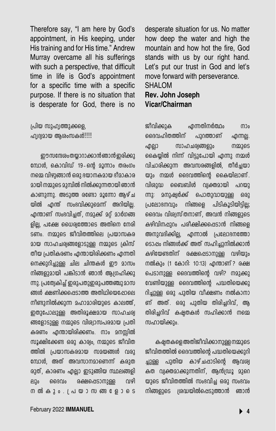Therefore say, "I am here by God's appointment, in His keeping, under His training and for His time." Andrew Murray overcame all his sufferings with such a perspective, that difficult time in life is God's appointment for a specific time with a specific purpose. If there is no situation that is desperate for God, there is no

(പിയ സുഹ്വത്തുക്കളെ, ഹ്വദ്വമായ ആശംസകൾ!!!!!

ഈസന്ദേശം തയ്യാറാക്കാൻ ഞാൻ ഇരിക്കു മ്പോൾ, കൊവിഡ് 19-ന്റെ മൂന്നാം തരംഗം നമ്മെ വിഴുങ്ങാൻ ഒരു ഭയാനകമായ ദീമാകാര  $\alpha$ ായി നമ്മുടെ മുമ്പിൽ നിൽക്കുന്നതായി ഞാൻ കാണുന്നു. അടുത്ത രണ്ടോ മൂന്നോ ആഴ്ച യിൽ എന്ത് സംഭവിക്കുമെന്ന് അറിയില്ല. എന്താണ് സംഭവിച്ചത്, നമുക്ക് മറ്റ് മാർഗങ്ങ ളില്ല, പക്ഷേ ധൈര്യത്തോടെ അതിനെ നേരി ടണം. നമ്മുടെ ജീവിതത്തിലെ പ്രയാസകര മായ സാഹചര്വങ്ങളോടുള്ള നമ്മുടെ ക്രിസ് തീയ പ്രതികരണം എന്തായിരിക്കണം എന്നതി നെക്കുറിച്ചുള്ള ചില ചിന്തകൾ ഈ മാസം നിങ്ങളുമായി പങ്കിടാൻ ഞാൻ ആഗ്രഹിക്കു ന്നു. പ്രത്വേകിച്ച് ഇരുപതുഇരുപത്തഞ്ചു മാസ ങ്ങൾ ക്ഷണിക്കപ്പെടാത്ത അതിഥിയെപ്പോലെ നീണ്ടുനിൽക്കുന്ന മഹാമാരിയുടെ കാലത്ത്. ഇതുപോലുള്ള അതിരൂക്ഷമായ സാഹചര്വ ങ്ങളോടുള്ള നമ്മുടെ വിര്വാസപരമായ പ്രതി കരണം എന്തായിരിക്കണം. നാം മനസ്സിൽ സൂക്ഷിക്കേണ്ട ഒരു കാര്വം, നമ്മുടെ ജീവിത ത്തിൽ പ്രയാസകരമായ സമയങ്ങൾ വരു മ്പോൾ, അത് അവസാനമാണെന്ന് കരുത രുത്, കാരണം എല്ലാ ഇടുങ്ങിയ സ്ഥലങ്ങളി ലും ദൈവം രക്ഷപ്പെടാനുള്ള വഴി  $\overline{m}$  ൽ കും .  $\overline{l}$  പ യാ $\overline{m}$  ഞ .  $\overline{p}$  ാരട

desperate situation for us. No matter how deep the water and high the mountain and how hot the fire, God stands with us by our right hand. Let's put our trust in God and let's move forward with perseverance. SHALOM **Rev. John Joseph Vicar/Chairman**

ജീവിക്കുക എന്നതിനർത്ഥം നാം ദൈവഹിതത്തിന് പുറത്താണ് എന്നല്ല. എല്ലാ സാഹചര്വങ്ങളും നമ്മുടെ കൈയ്യിൽ നിന്ന് വിട്ടുപോയി എന്നു നമ്മൾ വിചാരിക്കുന്ന അവസരങ്ങളിൽ, തീർച്ചയാ യും നമ്മൾ ദൈവത്തിന്റെ കൈയിലാണ്. വിശുദ്ധ ബൈബിൾ വ്വക്തമായി പറയു ന്നു: മനുഷ്വർക്ക് പൊതുവായുള്ള ഒരു  $[$ പലോദനവും നിങ്ങളെ പിടികൂടിയിട്ടില്ല; ദൈവം വിശ്വസ്തനാണ്, അവൻ നിങ്ങളുടെ കഴിവിനപ്പുറം പരീക്ഷിക്കപ്പെടാൻ നിങ്ങളെ അനുവദിക്കില്ല, എന്നാൽ പ്രലോഭനത്തോ ടൊപ്പം നിങ്ങൾക്ക് അത് സഹിച്ചുനിൽക്കാൻ കഴിയേണ്ടതിന് രക്ഷപ്പെടാനുള്ള വഴിയും നൽകും (1 കോറി: 10:13) എന്താണ് ? രക്ഷ പെടാനുള്ള ദൈവത്തിന്റെ വഴി? നമുക്കു വേണ്ടിയുള്ള ദൈവത്തിന്റെ പദ്ധതിയെക്കു റിച്ചുള്ള ഒരു പുതിയ വീക്ഷണം നൽകാനാ ണ് അത്. ഒരു പുതിയ തിരിച്ചറിവ്, ആ തിരിച്ചറിവ് കഷ്ടതകൾ സഹിക്കാൻ നമ<u>െ</u> സഹായിക്കും.

കഷതകളെ അതിജീവിക്കാനുള്ള നമ്മുടെ ജീവിതത്തിൽ ദൈവത്തിന്റെ പദ്ധതിയെക്കുറി ച്ചുള്ള പുതിയ കാഴ്ചപ്പാടിന്റെ ആവശ്വ കത വ്വക്തമാക്കുന്നതിന്, ആൻഡ്രൂ മുറെ യുടെ ജീവിതത്തിൽ സംഭവിച്ച ഒരു സംഭവം നിങ്ങളുടെ ശ്രദ്ധയിൽപ്പെടുത്താൻ ഞാൻ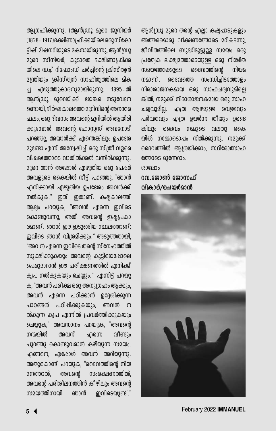ആഗ്രഹിക്കുന്നു. (ആൻഡ്രൂ മുറെ ജൂനിയർ (1828 - 1917) ദക്ഷിണാപ്രിക്കയിലെ ഒരുസ് കോ ട്ടിഷ് മിഷനറിയുടെ മകനായിരുന്നു, ആൻഡ്രൂ മുറെ സീനിയർ, കൂടാതെ ദക്ഷിണാപ്രിക്ക യിലെ ഡച്ച് റിഫോംഡ് ചർച്ചിന്റെ ക്രിസ്ത്വൻ  $9$ (ന്തിയും ക്രിസ്ത്വൻ സാഹിത്വത്തിലെ മിക ച്ച എഴുത്തുകാരനുമായിരുന്നു. 1895–ൽ ആൻഗ്രൂ മുറെയ്ക്ക് ഭയങ്കര നടുവേദന ഉണ്ടായി, ദീർഘകാലത്തെ മുറിവിന്റെ അനന്തര ഫലം. ഒരു ദിവസം അവന്റെ മാറിയിൽ അയിരി ക്കുമ്പോൾ, അവന്റെ ഹോസ്സസ് അവനോട് പറഞ്ഞു, അയാൾക്ക് എന്തെങ്കിലും ഉപദേശ  $22$ ണ്ടോ എന്ന് അന്വേഷിച്ച് ഒരു സ്ത്രീ വളരെ വിഷമത്തോടെ വാതിൽക്കൽ വന്നിരിക്കുന്നു. 2300 താൻ അ**പ്പോൾ എഴുതിയ ഒരു പേ**ഷർ അവളുടെ കൈയിൽ നീട്ടി പറഞ്ഞു, "ഞാൻ എനിക്കായി എഴുതിയ ഉപദേശം അവൾക്ക് നൽകുക." ഇത് ഇതാണ്: കഷകാലത്ത് ആദ്യം പറയുക, "അവൻ എന്നെ ഇവിടെ കൊണ്ടുവന്നു, അത് അവന്റെ ഇഷ്യപ്രകാ  $62$ ാണ് . ഞാൻ ഈ ഇടുങ്ങിയ സ്ഥലത്താണ്; ഇവിടെ ഞാൻ വിശമിക്കും." അടുത്തതായി. "അവൻ എന്നെ ഇവിടെ തന്റെ സ് നേഹത്തിൽ സൂക്ഷിക്കുകയും അവന്റെ കുട്ടിയെപ്പോലെ പെരുമാറാൻ ഈ പരീക്ഷണത്തിൽ എനിക്ക് ക്വപ നൽകുകയും ചെയ്യും." എന്നിട്ട് പറയു ക, "അവൻ പരീക്ഷ ഒരു അനുഗ്രഹം ആക്കും, അവൻ എന്നെ പഠിക്കാൻ ഉദ്ദേശിക്കുന്ന പാഠങ്ങൾ പഠിപ്പിക്കുകയും, അവൻ ന ൽകുന്ന ക്വപ എന്നിൽ പ്രവർത്തിക്കുകയും ചെയ്യുക," അവസാനം പറയുക, "അവന്റെ നന്മയിൽ അവന് ഹന്നെ വീണ്ടാം പുറത്തു കൊണ്ടുവരാൻ കഴിയുന്ന സമയം.  $\Delta$ എങ്ങനെ, എപ്പോൾ അവൻ അറിയുന്നു. അതുകൊണ്ട് പറയുക, "ദൈവത്തിന്റെ നിയ മനത്താൽ, അവന്റെ സംരക്ഷണത്തിൽ, അവന്റെ പരിശീലനത്തിൻ കീഴിലും അവന്റെ സമയത്തിനായി ഞാൻ നവിടെയുണ്ട്."

ആൻഗ്രൂ മുറെ തന്റെ എല്ലാ കഷ്പ്പാടുകളും അത്തരമൊരു വീക്ഷണത്തോടെ മറികടന്നു. ജീവിതത്തിലെ ബുദ്ധിമുട്ടുള്ള സമയം ഒരു <u>പ്രത്വേക ലക്ഷ്വത്തോടെയുള്ള ഒരു നിശ്ചിത</u> സമയത്തേക്കുള്ള ദൈവത്തിന്റെ നിയമ നമാണ്. ദൈവത്തെ സംന്ധിച്ചിടത്തോളം നിരാശാജനകമായ ഒരു സാഹചര്വവുമിലെ ങ്കിൽ, നമുക്ക് നിരാശാജനകമായ ഒരു സാഹ ചര്വവുമില്ല. എത്ര ആഴമുള്ള വെള്ളവും പർവതവും എത്ര ഉയർന്ന തീയും ഉണ്ടെ ങ്കിലും ദൈവം നമ്മുടെ വലതു കൈ യിൽ നമ്മോടൊപ്പം നിൽക്കുന്നു. നമുക്ക് ദൈവത്തിൽ ആശ്രയിക്കാം, സ്ഥിരോത്സാഹ  $@00006922@000000.$  $(0.08P1)$ o

<u>റവ ജോൺ ജോസഫ്</u> വികാർ**/ചെയർ**മാൻ



February 2022 **IMMANUEL 5**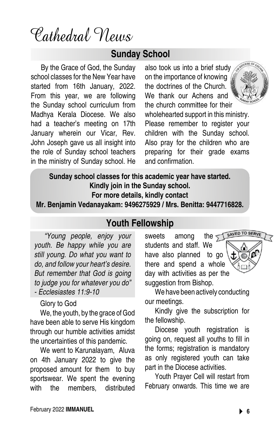Cathedral News

## **Sunday School**

By the Grace of God, the Sunday school classes for the New Year have started from 16th January, 2022. From this year, we are following the Sunday school curriculum from Madhya Kerala Diocese. We also had a teacher's meeting on 17th January wherein our Vicar, Rev. John Joseph gave us all insight into the role of Sunday school teachers in the ministry of Sunday school. He

also took us into a brief study on the importance of knowing the doctrines of the Church. We thank our Achens and the church committee for their



wholehearted support in this ministry. Please remember to register your children with the Sunday school. Also pray for the children who are preparing for their grade exams and confirmation.

**Sunday school classes for this academic year have started. Kindly join in the Sunday school. For more details, kindly contact** 

**Mr. Benjamin Vedanayakam: 9496275929 / Mrs. Benitta: 9447716828.**

## **Youth Fellowship**

*"Young people, enjoy your youth. Be happy while you are still young. Do what you want to do, and follow your heart's desire. But remember that God is going to judge you for whatever you do" - Ecclesiastes 11:9-10*

### Glory to God

We, the youth, by the grace of God have been able to serve His kingdom through our humble activities amidst the uncertainties of this pandemic.

We went to Karunalayam, Aluva on 4th January 2022 to give the proposed amount for them to buy sportswear. We spent the evening with the members, distributed

sweets among the  $\leq$ students and staff. We have also planned to go there and spend a whole day with activities as per the suggestion from Bishop.



Kindly give the subscription for the fellowship.

Diocese youth registration is going on, request all youths to fill in the forms; registration is mandatory as only registered youth can take part in the Diocese activities.

Youth Prayer Cell will restart from February onwards. This time we are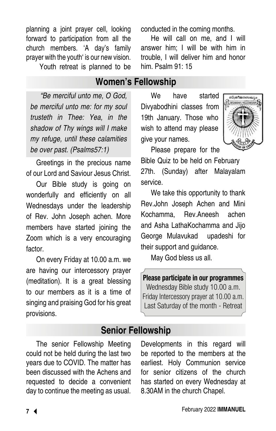planning a joint prayer cell, looking forward to participation from all the church members. 'A day's family prayer with the youth' is our new vision.

Youth retreat is planned to be

**Women's Fellowship**

*"Be merciful unto me, O God, be merciful unto me: for my soul trusteth in Thee: Yea, in the shadow of Thy wings will I make my refuge, until these calamities be over past. (Psalms57:1)*

Greetings in the precious name of our Lord and Saviour Jesus Christ.

Our Bible study is going on wonderfully and efficiently on all Wednesdays under the leadership of Rev. John Joseph achen. More members have started joining the Zoom which is a very encouraging factor.

On every Friday at 10.00 a.m. we are having our intercessory prayer (meditation). It is a great blessing to our members as it is a time of singing and praising God for his great provisions.

conducted in the coming months. He will call on me, and I will

answer him; I will be with him in trouble, I will deliver him and honor him. Psalm 91: 15

We have started Divyabodhini classes from 19th January. Those who wish to attend may please give your names.



Please prepare for the Bible Quiz to be held on February

27th. (Sunday) after Malayalam service.

We take this opportunity to thank Rev.John Joseph Achen and Mini Kochamma, Rev.Aneesh achen and Asha LathaKochamma and Jijo George Mulavukad upadeshi for their support and guidance.

May God bless us all.

Please participate in our programmes Wednesday Bible study 10.00 a.m. Friday Intercessory prayer at 10.00 a.m. Last Saturday of the month - Retreat

## **Senior Fellowship**

The senior Fellowship Meeting could not be held during the last two years due to COVID. The matter has been discussed with the Achens and requested to decide a convenient day to continue the meeting as usual. Developments in this regard will be reported to the members at the earliest. Holy Communion service for senior citizens of the church has started on every Wednesday at 8.30AM in the church Chapel.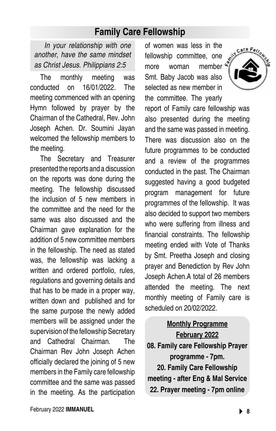## **Family Care Fellowship**

*In your relationship with one another, have the same mindset as Christ Jesus. Philippians 2:5*

The monthly meeting was conducted on 16/01/2022. The meeting commenced with an opening Hymn followed by prayer by the Chairman of the Cathedral, Rev. John Joseph Achen. Dr. Soumini Jayan welcomed the fellowship members to the meeting.

The Secretary and Treasurer presented the reports and a discussion on the reports was done during the meeting. The fellowship discussed the inclusion of 5 new members in the committee and the need for the same was also discussed and the Chairman gave explanation for the addition of 5 new committee members in the fellowship. The need as stated was, the fellowship was lacking a written and ordered portfolio, rules, regulations and governing details and that has to be made in a proper way, written down and published and for the same purpose the newly added members will be assigned under the supervision of the fellowship Secretary and Cathedral Chairman. The Chairman Rev John Joseph Achen officially declared the joining of 5 new members in the Family care fellowship committee and the same was passed in the meeting. As the participation

February 2022 **IMMANUEL 8**

of women was less in the fellowship committee, one more woman member  $\frac{d}{dx}$ Smt. Baby Jacob was also selected as new member in the committee. The yearly report of Family care fellowship was also presented during the meeting and the same was passed in meeting. There was discussion also on the future programmes to be conducted and a review of the programmes conducted in the past. The Chairman suggested having a good budgeted program management for future programmes of the fellowship. It was also decided to support two members who were suffering from illness and financial constraints. The fellowship meeting ended with Vote of Thanks by Smt. Preetha Joseph and closing prayer and Benediction by Rev John Joseph Achen.A total of 26 members attended the meeting. The next monthly meeting of Family care is scheduled on 20/02/2022.

**Monthly Programme February 2022 08. Family care Fellowship Prayer programme - 7pm. 20. Family Care Fellowship** 

**meeting - after Eng & Mal Service 22. Prayer meeting - 7pm online**

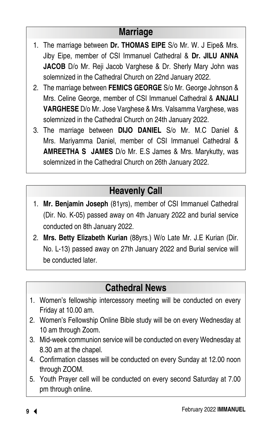## **Marriage**

- 1. The marriage between **Dr. THOMAS EIPE** S/o Mr. W. J Eipe& Mrs. Jiby Eipe, member of CSI Immanuel Cathedral & **Dr. JILU ANNA JACOB** D/o Mr. Reji Jacob Varghese & Dr. Sherly Mary John was solemnized in the Cathedral Church on 22nd January 2022.
- 2. The marriage between **FEMICS GEORGE** S/o Mr. George Johnson & Mrs. Celine George, member of CSI Immanuel Cathedral & **ANJALI VARGHESE** D/o Mr. Jose Varghese & Mrs. Valsamma Varghese, was solemnized in the Cathedral Church on 24th January 2022.
- 3. The marriage between **DIJO DANIEL** S/o Mr. M.C Daniel & Mrs. Mariyamma Daniel, member of CSI Immanuel Cathedral & **AMREETHA S JAMES** D/o Mr. E.S James & Mrs. Marykutty, was solemnized in the Cathedral Church on 26th January 2022.

# **Heavenly Call**

- 1. **Mr. Benjamin Joseph** (81yrs), member of CSI Immanuel Cathedral (Dir. No. K-05) passed away on 4th January 2022 and burial service conducted on 8th January 2022.
- 2. **Mrs. Betty Elizabeth Kurian** (88yrs.) W/o Late Mr. J.E Kurian (Dir. No. L-13) passed away on 27th January 2022 and Burial service will be conducted later.

# **Cathedral News**

- 1. Women's fellowship intercessory meeting will be conducted on every Friday at 10.00 am.
- 2. Women's Fellowship Online Bible study will be on every Wednesday at 10 am through Zoom.
- 3. Mid-week communion service will be conducted on every Wednesday at 8.30 am at the chapel.
- 4. Confirmation classes will be conducted on every Sunday at 12.00 noon through ZOOM.
- 5. Youth Prayer cell will be conducted on every second Saturday at 7.00 pm through online.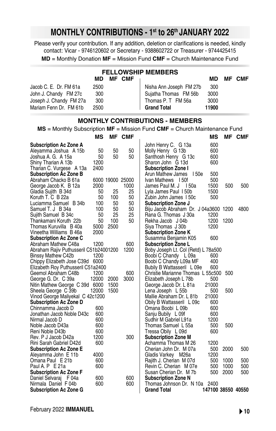## **MONTHLY CONTRIBUTIONS - 1st to 26th JANUARY 2022**

Please verify your contribution. If any addition, deletion or clarifications is needed, kindly contact: Vicar - 9746120602 or Secretary - 9388602722 or Treasurer - 9744425415

**MD** = Monthly Donation **MF** = Mission Fund **CMF** = Church Maintenance Fund

| <b>FELLOWSHIP MEMBERS</b> |      |  |               |                         |       |     |     |
|---------------------------|------|--|---------------|-------------------------|-------|-----|-----|
|                           | MD.  |  | <b>MF CMF</b> |                         | MD.   | MF. | CMF |
| Jacob C. E. Dr. FM 61a    | 2500 |  |               | Nisha Ann Joseph FM 27b | 300   |     |     |
| John J. Chandy FM 27c     | 300  |  |               | Suiatha Thomas FM 56b   | 3000  |     |     |
| Joseph J. Chandy FM 27a   | 300  |  |               | Thomas P. T FM 56a      | 3000  |     |     |
| Mariam Fenn Dr. FM 61b    | 2500 |  |               | <b>Grand Total</b>      | 11900 |     |     |

#### **MONTHLY CONTRIBUTIONS - MEMBERS**

**MS** = Monthly Subscription **MF** = Mission Fund **CMF** = Church Maintenance Fund

|                                        | ΜS    | ΜF   | <b>CMF</b>       |                                       | ΜS                 | МF   | CMF  |
|----------------------------------------|-------|------|------------------|---------------------------------------|--------------------|------|------|
| <b>Subscription Ac Zone A</b>          |       |      |                  | John Henry C. G 13a                   | 600                |      |      |
| Aleyamma Joshua A 15b                  | 50    | 50   | 50               | Molly Henry G 13b                     | 600                |      |      |
| Joshua A. G. A 15a                     | 50    | 50   | 50               | Santhosh Henry G 13c                  | 600                |      |      |
| Shiny Tharian A 13b                    | 1200  |      |                  | Sharon John G 13d                     | 600                |      |      |
| Tharian C. Vurgese A 13a               | 2400  |      |                  | <b>Subscription Zone I</b>            |                    |      |      |
| <b>Subscription Ac Zone B</b>          |       |      |                  | 150e<br>Arun Mathew James             | 500                |      |      |
| Abraham Chacko B 61a                   |       |      | 6000 19000 25000 | Ivan Mathews 150f                     | 500                |      |      |
| George Jacob K. B 12a                  | 2000  |      | 1000             | James Paul M. J 150a                  | 1500               | 500  | 500  |
| Gladia Sujith B 34d                    | 50    | 25   | 25               | Lyla James Paul 150b                  | 1500               |      |      |
| Koruth T. C B 22a                      | 50    | 100  | 50               | Zubin John James 150c                 | 500                |      |      |
| Luciamma Samuel B 34b                  | 100   | 50   | 50               | <b>Subscription Zone J</b>            |                    |      |      |
| Samuel T. J B 34a                      | 100   | 50   | 50               | Biju Jacob Abraham Dr. J 04a3600 1200 |                    |      | 4800 |
| Sujith Samuel B 34c                    | 50    | 25   | 25               | Rana G. Thomas J 30a                  | 1200               |      |      |
| Thankamani Koruth 22b                  | 50    | 100  | 50               | Rekha Jacob J 04b                     | 1200               | 1200 |      |
| Thomas Kuruvilla B 40a                 | 5000  | 2500 |                  | Siya Thomas J 30b                     | 1200               |      |      |
| Vineetha Williams B 46a                | 2000  |      |                  | <b>Subscription Zone K</b>            |                    |      |      |
| <b>Subscription Ac Zone C</b>          |       |      |                  | Susamma Benjamin K05                  | 600                |      |      |
| Abraham Mathew C48a                    | 1200  |      | 600              | <b>Subscription Zone L</b>            |                    |      |      |
| Abraham Rajiv Puthusseril C51b24001200 |       |      | 1200             | Boby Joseph Lt. Col (Retd) L 78a500   |                    |      |      |
| Binssy Mathew C42b                     | 1200  |      |                  | Boobi C Chandy L 09a                  | 600                |      |      |
| Chippy Elizabeth Jose C39d 6000        |       |      |                  | Boobi C Chandy L09a MF                | 400                |      |      |
| Elizabeth Roy Puthusseril C51a2400     |       |      |                  | Bubily B Wattasseril L 09e            | 600                |      |      |
| Geemol Abraham C48b                    | 1200  |      | 600              | Christie Marianne Thomas L 55c500     |                    | 500  |      |
| George G. Dr. C 39a                    | 12000 | 2000 | 3000             | Elizabeth Joseph L 78b                | 500                |      |      |
| Nitin Mathew George C 39d 6000         |       | 1500 |                  | George Jacob Dr. L 81a                | 21000              |      |      |
| Sheela George C 39b                    | 12000 | 1500 |                  | Lena Joseph L 55b                     | 500                | 500  |      |
| Vinod George Maliyekal C 42c1200       |       |      |                  | Mallie Abraham Dr. L 81b              | 21000              |      |      |
| <b>Subscription Ac Zone D</b>          |       |      |                  | Obily B Wattasseril L 09c             | 600                |      |      |
| Chinnamma Jacob D                      | 600   |      |                  | Omana Boobi L 09b                     | 600                |      |      |
| Jonathan Jacob Noble D43c              | 600   |      |                  | Sanju Bubily L 09f                    | 600                |      |      |
| Nirmal Jacob D                         | 600   |      |                  | Sudhir M Gabriel L91a                 | 1200               |      |      |
| Noble Jacob D43a                       | 600   |      |                  | Thomas Samuel L 55a                   | 500                | 500  |      |
| Reni Noble D43b                        | 600   |      |                  | Tressa Obily L 09d                    | 600                |      |      |
| Rev. P J Jacob D42a                    | 1200  |      | 300              | <b>Subscription Zone M</b>            |                    |      |      |
| Rini Sarah Gabriel D42d                | 600   |      |                  | Achamma Thomas M 26                   | 1200               |      |      |
| <b>Subscription Ac Zone E</b>          |       |      |                  | Cherian John Dr. M 07a                | 500                | 2000 | 500  |
| Aleyamma John E 11b                    | 4000  |      |                  | Gladis Varkey M26a                    | 1200               |      |      |
| Omana Paul E 21b                       | 600   |      |                  | Rajith J. Cherian M 07d               | 500                | 1000 | 500  |
| Paul A. P E 21a                        | 600   |      |                  | Revin C. Cherian M 07e                | 500                | 1000 | 500  |
| <b>Subscription Ac Zone F</b>          |       |      |                  | Susan Cherian Dr. M 7b                | 500                | 2000 | 500  |
| Daniel Selvaraj F 04a                  | 600   |      | 600              | <b>Subscription Zone N</b>            |                    |      |      |
| Nirmala Daniel F 04b                   | 600   |      | 600              | Thomas Johnson Dr. N 10a              | 2400               |      |      |
| <b>Subscription Ac Zone G</b>          |       |      |                  | <b>Grand Total</b>                    | 147100 38550 40550 |      |      |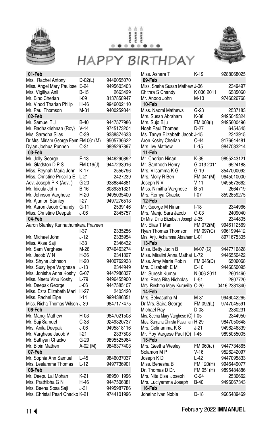





| 01-Feb                                                      |                 |                          |
|-------------------------------------------------------------|-----------------|--------------------------|
| Mrs. Rachel Antony<br>Miss. Angel Mary Paulose              | D-02(L)<br>E-24 | 9446055070<br>9495603403 |
| Mrs. Vigiliya Anil                                          | <b>B-15</b>     | 2663429                  |
| Mr. Bino Cherian                                            | I-09            | 8137858947               |
| Mr. Vinod Tharian Philip                                    | H-46            | 9946002110               |
| Mr. Paul Thomson                                            | M-31            | 9400259844               |
| 02-Feb                                                      |                 |                          |
| Mr. Samuel T J                                              | $B-40$          | 9447577986               |
| Mr. Radhakrishnan (Roy}                                     | $V-14$          | 9745173204               |
| Mrs. Saradha Silas                                          | C-39            | 9388874633<br>9505736622 |
| Dr Mrs. Miriam George Fenn FM 061(M)<br>Dylan Joshua Punnen | $C-31$          | 9895297897               |
| 03-Feb                                                      |                 |                          |
| Mr. Jolly George                                            | E-13            | 9446290892               |
| Mr. Gladston D P S                                          | FM 019(J)       | 9447233916               |
| Miss. Reynah Maria John                                     | K-17            | 2556796                  |
| Miss. Christine Priscilla E                                 | $L-21$          | 2427239                  |
| Adv. Joseph P K (Adv.)                                      | G-20            | 9388844881               |
| Mr. Idicula John                                            | B-16            | 8089351321               |
| Mr. Johnson Varghese                                        | $H-20$          | 9495035400               |
| Mr. Ajumon Stanley                                          | $-27$           | 9497276513               |
| Mr. Aaron Jacob Chandy                                      | G-11            | 2539146                  |
| Miss. Christine Deepak                                      | J-06            | 2345757                  |
| 04-Feb                                                      |                 |                          |
| Aaron Stanley Kunnathumkara Praveen                         |                 |                          |
|                                                             | I-37            | 2335256                  |
| Mr. Michael John                                            | J-12            | 2335954                  |
| Miss. Aksa Saji                                             | l-33            | 2346432                  |
| Mr. Sam Varghese                                            | M-26            | 9746463274               |
| Mr. Jacob W N                                               | H-36            | 2341827                  |
| Mrs. Shyna Johnson                                          | H-20            | 9400762938               |
| Mrs. Susy lype Varghese                                     | J-13            | 2344949                  |
| Mrs. Jonisha Anna Koshy                                     | G-07            | 9447986337               |
| Miss. Neetu Vinu Koshy                                      | L-79<br>$J-06$  | 9496455900<br>9447585107 |
| Mr. Deepak George<br>Miss. Ezra Elizabeth Mani              | H-27            | 2403420                  |
| Miss. Rachel Eipe                                           | $-14$           | 9994386351               |
| Miss. Richa Thomas Wilson J-39                              |                 | 9847177475               |
| 06-Feb                                                      |                 |                          |
| Mr. Manoj Mathew                                            | H-03            | 9847021508               |
| Mr. Saji Samuel                                             | C-38            | 9249320737               |
| Mrs. Anila Deepak                                           | J-06            | 9495818116               |
| Mr. Varghese Jacob V                                        | l-21            | 2337508                  |
| Mr. Sathyan Chacko                                          | $G-29$          | 9895525964               |
| Mr. Bibin Mathen                                            | A-02 (M)        | 9846377403               |
| 07-Feb                                                      |                 |                          |
| Mr. Sophia Ann Samuel                                       | L-45            | 9846037037               |
| Mrs. Leelamma Thomas                                        | $L-12$          | 9497736901               |
| 08-Feb                                                      |                 |                          |
| Mr. Deepu Lal Mohan                                         | K-21            | 9895011996               |
| Mrs. Prathibha G N                                          | H-46            | 9447506381               |
| Mrs. Beena Sosa Saji                                        | J-31            | 9495987786               |
| Mrs. Christal Pearl Chacko K-21                             |                 | 9744101996               |

| Miss. Ashara T                       | K-19       | 9288068025   |
|--------------------------------------|------------|--------------|
| 09-Feb                               |            |              |
| Miss. Sneha Susan Mathew J-36        |            | 2349497      |
| Chithra S Chandy                     | K0362011   | 6585060      |
| Mr. Anoop John                       | $M-13$     | 9746026768   |
| 10-Feb                               |            |              |
| Miss. Naomi Mathews                  | $G-23$     | 2537183      |
| Mrs. Susan Abraham                   | K-38       | 9495045324   |
| Mrs. Sujo Biju                       | FM 008(I)  | 9495600496   |
| Noah Paul Thomas                     | D-27       | 6454545      |
| Ms. Tanya Elizabeth Jacob J-15       |            | 2343915      |
| Aron Koshy Cherian                   | $C-44$     | 9176644481   |
| Mrs. Ivy Mathew                      | $L-15$     | 9847033214   |
| 11-Feb                               |            |              |
| Mr. Cherian Ninan                    | K-35       | 9895243121   |
| Mr. Santhosh Henry                   | G 013 2011 | 6524188      |
|                                      | G-19       | 8547000092   |
| Mrs. Vilsamma K G                    |            |              |
| Mrs. Molly R Ben                     | FM 041(M)  | 9645010000   |
| Joseph N V                           | V-11       | 9495673662   |
| Miss. Nimitha Varghese               | $B-51$     | 2664719      |
| Mrs. Remya Chacko                    | $1 - 07$   | 8592859275   |
| 12-Feb                               |            |              |
| Mr. George M Ninan                   | $I-18$     | 2344966      |
| Mrs. Manju Sara Jacob                | G-03       | 2409040      |
| Dr Mrs. Dinu Elizabeth Joseph J-35   |            | 2344805      |
| Mr. Elias T Mani                     | FM 072(M)  | 9946112569   |
| <b>Ryan Thomas Thomson</b>           | FM 097(C)  | 9961994412   |
|                                      |            |              |
| Mrs. Anju Achamma Abraham L-01       |            | 8971675305   |
| 13-Feb                               |            |              |
| Miss. Betty Judin B                  | M-07 (C)   | 9447716828   |
| Miss. Miralini Anna Mathai           | L-72       | 9446550422   |
| Miss. Amy Maria Robin                | FM 045(D)  | 6506068      |
| Mrs. Elizabeth E M                   | $E-10$     | 9446050095   |
| Mr. Suresh Kumar                     | N 006 2011 | 2601460      |
| Mrs. Resa Rita Nicholas              | $L-51$     | 2807720      |
|                                      |            |              |
| Mrs. Reshma Mary Kuruvilla<br>14-Feb | $C-20$     | 0416 2331340 |
|                                      |            |              |
| Mrs. Selvasutha M                    | M-31       | 9946042265   |
| Dr Mrs. Saira George                 | FM 092(L)  | 9747045591   |
| Michael Ray                          | D-08       | 2380231      |
| Mrs. Seena Mary Varghese (O) I-05    |            | 2344950      |
| Miss. Sanjana Christa Pavamani H-29  |            | 9847050648   |
| Mrs. Celinamma K S                   | J-21       | 9496246339   |
| Mr. Roy Vargese Paul (O)<br>15-Feb   | $-45$      | 9895055005   |
| Mrs. Geetha Wesley                   | FM 060(J)  | 9447734865   |
| Solamon M P                          | V-16       | 9526242097   |
| Joseph KD                            | $L-42$     | 9447095833   |
| Miss. Benesha B                      | FM 120(H)  | 9946449077   |
| Dr. Thomas D Dr.                     | FM 051(H)  | 9895484886   |
| Mrs. Nita Elsa Joseph                | G-24       | 2530662      |
| Mrs. Luciyamma Joseph                | B-40       | 9496067343   |
| 16-Feb                               |            |              |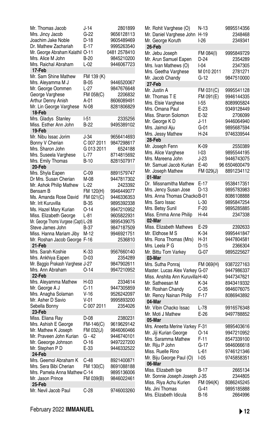| Mr. Thomas Jacob                                | J-14        | 2801899                  |
|-------------------------------------------------|-------------|--------------------------|
| Mrs. Jincy Jacob                                | $G-22$      | 9656128113               |
| Joachim Jake Noble                              | D-18        | 9605489469               |
| Dr. Mathew Zachariah                            | $E-17$      | 9995263540               |
| Mr. George Abraham Kalathil O-11                |             | 0481 2578410             |
| Mrs. Alice M John                               | B-20        | 9845210200               |
| Mrs. Raichal Abraham                            | L-02        | 9446067723               |
| 17-Feb                                          |             |                          |
| Mr. Sam Shine Mathew                            | FM 139 (K)  |                          |
|                                                 | B-05        | 9446520067               |
| Mrs. Aleyamma M J                               |             |                          |
| Mr. George Oommen                               | L-27        | 9847676648               |
| George Varghese                                 | FM 058(C)   | 2206832                  |
| Arthur Denny Anish                              | A-01        | 8606089491               |
| Mr. Lin George Varghese                         | N-08        | 8281806829               |
| 18-Feb                                          |             |                          |
| Mrs. Gladys Stanley                             | $-51$       | 2335256                  |
| Miss. Esther Ann John                           | $B-22$      | 9495389102               |
| 19-Feb                                          |             |                          |
| Mr. Nibu Issac Jorim                            | J-34        | 9656414693               |
| Bonny V Cherian                                 | C 007 2011  | 9847298617               |
| Mrs. Sharon John                                | G 013 2011  | 6524188                  |
| Mrs. Suseela Varghese                           | L-77        | 8714815692               |
| Mrs. Emily Thomas                               | <b>B-10</b> | 8281507917               |
| 20-Feb                                          |             |                          |
| Mrs. Shyla Eapen                                | $C-09$      | 8891579747               |
| Dr Mrs. Susan Cherian                           | M-08        | 9447817302               |
| Mr. Ashok Philip Mathew                         | L-22        | 2423392                  |
| Bensam B                                        | FM 120(H)   | 9946449077               |
| Ms. Amanda Rose David                           | FM 021(C)   | 9446336353               |
| Mr. Irit Kuruvilla                              | <b>B-35</b> | 9895392338               |
| Ms. Hazel Mary Kurian                           | 0-14        | 9947210952               |
| Miss. Elizabeth George                          |             | 9605822931               |
|                                                 | L-81        |                          |
| Mr. George Thoms Vurgese (Capt) L-28            |             | 9895439075               |
| Steve James John                                | B-37        | 9847187509               |
| Miss. Hanna Mariam Jiby                         | M-12        | 9946921751               |
| Mr. Roshan Jacob George                         | F-16        | 2536810                  |
| 21-Feb                                          |             |                          |
| Mrs. Sarah Koshie                               | K-33        | 9567660140               |
| Mrs. Ankhiya Eapen                              | D-03        | 2354289                  |
| Mr. Baggio Prakash Varghese J-27                |             | 9847902611               |
| Mrs. Ann Abraham                                | $O-14$      | 9947210952               |
| 22-Feb                                          |             |                          |
| Mrs. Aleyamma Mathew                            | H-03        | 2334614                  |
| Mr. George A J                                  | C-11        | 9447305859               |
| Mrs. Anagha Solaman                             | $V-16$      | 9526242097               |
| Mr. Asher D Savio                               | $V-01$      | 9995893200               |
| Sebella Bonny                                   | C 007 2011  | 2354026                  |
| 23-Feb                                          |             |                          |
| Miss. Eliana Ray                                | D-08        | 2380231                  |
| Mrs. Ashish E George                            | FM-146(C)   | 9619629142               |
| Mr. Mathew K Joseph                             | FM 032(J)   | 9846060466               |
| Mr. Praveen John Kurian                         | G - 42      | 9446740101               |
| Mr. Geeorge Johnson                             | $O-16$      | 9497227200               |
| Mr. Stephen P D                                 | E-33        | 9446332522               |
| 24-Feb                                          |             |                          |
|                                                 |             |                          |
| Mrs. Geemol Abraham K<br>Mrs. Sera Bibi Cherian | C-48        | 8921400871<br>8691088188 |
|                                                 | FM 130(C)   |                          |
| Mrs. Pamela Anna Mathew C-14                    |             | 9895136006               |
| Mr. Jason Prince                                | FM 039(B)   | 9846022461               |
| 25-Feb                                          |             |                          |
| Mr. Nevil Jacob Paul                            | $C-28$      | 9746003260               |

| Mr. Rohit Varghese (O)                   | N-13                | 9895514356                  |
|------------------------------------------|---------------------|-----------------------------|
| Mr. Daniel Varghese John                 | H-19                | 2348468                     |
| Mr. George Koruth                        | $1-26$              | 2349341                     |
| 26-Feb                                   |                     |                             |
| Mr. Jebu Joseph                          | FM 084(I)           | 9995849729                  |
| Mr. Arun Samuel Eapen                    | D-24                | 2354289                     |
| Mrs. Ivan Mathews (O)                    | l-04                | 2347305                     |
| Mrs. Geetha Varghese                     | M 010 2011          | 2781271                     |
| Mr. Jacob Chandy                         | $G-12$              | 9847510000                  |
| 27-Feb                                   |                     |                             |
| Mr. Justin A                             | FM 031(C)           | 9995541128                  |
| Mr. Thomas T E                           | FM 091(E)           | 9946144335                  |
| Mrs. Elsie Varghese                      | l-55                | 8089905824                  |
| Mrs. Omana Paul                          | E-23                | 9349128449                  |
| Miss. Sharon Solomon                     | E-32                | 2706099                     |
| Mr. George KD                            | $J-11$              | 9446064940                  |
| Mrs. Jaimol Aju                          | G-01                | 9895687594                  |
| Mrs. Jessy Mathew<br>28-Feb              | H-24                | 9746339544                  |
|                                          |                     |                             |
| Mr. Joseph Fenn                          | K-09                | 2550389<br>9895544195       |
| Mrs. Alice Varghese<br>Mrs. Mareena John | I-03                |                             |
|                                          | J-23                | 9446743075                  |
| Mr. Samuel Jacob Kurian                  | $E-40$<br>FM 029(J) | 96 6504600479<br>8891234112 |
| Mr. Joseph Mathew                        |                     |                             |
| 01-Mar<br>Dr. Missnamitha Mathew         | E-17                | 9538417351                  |
| Mrs. Jency Susan Jose                    | D-13                | 9895783983                  |
| Mrs. Anna Thomas ChackoB-01              |                     | 8086108888                  |
| Mrs. Saro Issac                          | $L-30$              | 9895847254                  |
| Mrs. Betsy Sunil                         | F-20                | 9895285885                  |
| Miss. Emma Anne Philip                   | H-44                | 2347338                     |
| $02$ -Mar                                |                     |                             |
| Miss. Elizabeth Mathews                  | E-29                | 2392633                     |
| Mr. Eldhose M S                          | K-34                | 9995441847                  |
| Mrs. Rona Thomas (Mrs)                   | H-31                | 9447804581                  |
| Mrs. Leela P G                           | D-15                | 2366304                     |
| Mr. Bittu Tom Varkey                     | G-07                | 9895225627                  |
| 03-Mar                                   |                     |                             |
| Mrs. Sutha Ponraj                        | FM 069(H)           | 9387227163                  |
| Master. Lucas Alex Varkey G-07           |                     | 9447986337                  |
| Miss. Anshita Ann KuruvillaH-40          |                     | 9447347621                  |
| Mr. Satheesan M                          | K-34                | 8943419332                  |
| Mr. Roshan Chandy                        | $C-35$              | 9846076075                  |
| Mr. Rency Nainan Philip                  | $F-17$              | 8086943892                  |
| 04-Mar                                   |                     |                             |
| Mr. Vibin Chacko Issac                   | L-78                | 9916576348                  |
| Mr. Moti J Mathew                        | E-26                | 9497788852                  |
| 05-Mar                                   |                     |                             |
| Mrs. Aneetta Merine Varkey               | F-31                | 9895403616                  |
| Mr. Jiji Kurian George                   | 0-14                | 9947210952                  |
| Mrs. Saramma Mathew                      | $F-11$              | 8547339100                  |
| Mr. Riju P John                          | $G-17$              | 9846066618                  |
| Miss. Ruelle Rino                        | L-61                | 9746121346                  |
| Mr. Biju George Paul (O)                 | I-05                | 9745858351                  |
| 06-Mar                                   |                     |                             |
| Miss. Elizabeth Ipe                      | B-17                | 2665134                     |
| Mr. Sonnie Joseph Joseph J-35            |                     | 2344805                     |
| Miss. Riya Achu Kurien                   | FM 094(K)           | 8086245245                  |
| Ms. Jini Thomas                          | G-41                | 9895185888                  |
| Mrs. Elizabeth Idicula                   | B-16                | 2664996                     |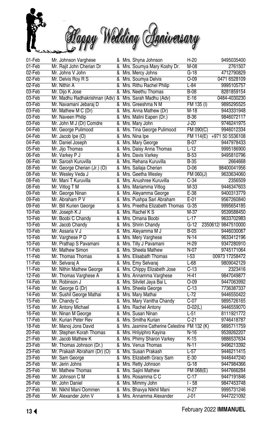

| 01-Feb           | Mr. Johnson Varghese                |                         | & Mrs. Shyna Johnson                          | $H-20$         | 9495035400         |
|------------------|-------------------------------------|-------------------------|-----------------------------------------------|----------------|--------------------|
| $01-Feb$         | Mr. Rajit John Cherian Dr           |                         | & Mrs. Soumya Mary Koshy Dr.                  | $M-08$         | 2761507            |
| $02$ -Feb        | Mr. Johns V John                    | &                       | Mrs. Mercy Johns                              | $G-18$         | 4712790829         |
| $02$ -Feb        | Mr. Delvis Roy R S                  |                         | & Mrs. Soumya Delvis                          | $O-09$         | 0471 6528109       |
| 02-Feb           | Mr. Nithin A                        | &                       | Mrs. Rithu Rachel Philip                      | $L - 84$       | 9995105757         |
| 03-Feb           | Mr. Dijo K Jose                     |                         | & Mrs. Neethu Thomas                          | $B-08$         | 8281859154         |
| 03-Feb           | Mr. Madhu Radhakrishnan (Adv)       | $\overline{\mathbf{g}}$ | Mrs. Sarah Madhu (Adv)                        | $E-16$         | 0484-4030230       |
| 03-Feb           | Mr. Navamani Jebaraj D              | &                       | Mrs. Greeshma N M                             | FM 135 (I)     | 9895295525         |
| 03-Feb           | Mr. Mathew M C (Dr)                 |                         | & Mrs. Anna Mathew (Dr)                       | $M-18$         | 9443331948         |
| 03-Feb           | Mr. Naveen Philip                   | &                       | Mrs. Malini Eapen (Dr.)                       | $B-36$         | 9846072117         |
| 03-Feb           | Mr. John M J (Dr) Comdre            | &                       | Mrs. Mary John                                | J-20           | 9746241975         |
| $04-Feb$         | Mr. George Pulimood                 | &                       | Mrs. Tina George Pulimood                     | FM 090(C)      | 9946012334         |
| 04-Feb           | Mr. Jacob Ipe (O)                   | &                       | Mrs. Nina Ipe                                 | FM 114(E)      | +971 50 5536108    |
| 04-Feb           | Mr. Daniel Joseph                   | &                       | Mrs. Mary George                              | $B-07$         | 9447978433         |
| 05-Feb           | Mr. Jijo Thomas                     |                         | & Mrs. Daisy Anna Thomas                      | $L-12$         | 9995186900         |
| 06-Feb           | Mr. Varkey P J                      | &                       | Mrs. Davis Varkey                             | $B-53$         | 9495810796         |
| 06-Feb           | Mr. Sarosh Kuruvilla                |                         | & Mrs. Rehana Kuruvilla                       | $B-35$         | 2664668            |
| 08-Feb           | Mr. George Cherian (Jr.) (O)        | &                       | Mrs. Sailaja Cherian                          | $D-06$         | 98400041956        |
| 08-Feb           | Mr. Wesley Veda J                   |                         | & Mrs. Geetha Wesley                          | $FM$ 060 $(J)$ | 9633634060         |
| 08-Feb           | Mr. Mani T Kuruvilla                |                         | & Mrs. Anushree Kuruvilla                     | $C-34$         | 2356509            |
| 08-Feb           | Mr. Vitlog T M                      | &                       | Mrs. Mariamma Vitlog                          | $M-33$         | 9446347603         |
| 09-Feb           | Mr. George Ninan                    |                         | & Mrs. Aleyamma George                        | $E-38$         | 9400313779         |
| 09-Feb           | Mr. Abraham P V                     | &                       | Mrs. Pushpa Sari Abraham                      | $E-01$         | 9567260840         |
| 09-Feb           | Mr. Bill Kurien George              | &                       | Mrs. Preetha Elizabeth Thomas                 | $G-35$         | 9995654185         |
| 10-Feb           | Mr. Joseph K J                      | ጼ                       | Mrs. Rachel K S                               | $M-37$         | 9539588450         |
| 10-Feb           |                                     |                         | & Mrs. Omana Boobi                            | $L-17$         | 9633702983         |
| 10-Feb           | Mr. Boobi C Chandy                  | &                       |                                               | $G-12$         | 2350612/9847510000 |
| 10-Feb           | Mr. Jacob Chandy<br>Mr. Assaria V J |                         | Mrs. Shirin Chandy                            |                | 9446030067         |
|                  |                                     |                         | & Mrs. Aleyamma M J                           | $B-05$         |                    |
| 10-Feb<br>10-Feb | Mr. Varghese P D                    | &                       | Mrs. Mery Varghese                            | N-14           | 9633412196         |
|                  | Mr. Prathap S Pavamani              |                         | & Mrs. Tilly J Pavamani                       | $H-29$         | 9347280910         |
| 11-Feb           | Mr. Mathew Simon                    |                         | & Mrs. Sheela Mathew                          | $N-07$         | 9745171064         |
| $11-Feb$         | Mr. Thomas Thomas                   |                         | & Mrs. Elisabath Thomas                       | F53            | 00973 17258472     |
| 11-Feb           | Mr. Selvaraj A                      | &                       | Mrs. Emy Selvaraj                             | $L-68$         | 9809042129         |
| 11-Feb           | Mr. Nithin Mathew George            | &                       | Mrs. Chippy Elizabeth Jose                    | $C-13$         | 2323416            |
| $12-Feb$         | Mr. Thomas Varghese A               |                         | & Mrs. Annamma Varghese                       | $H-41$         | 9847049877         |
| 14-Feb           | Mr. Robinson J                      | &                       | Mrs. Silvilet Jaya Bai L                      | $O - 09$       | 9447063992         |
| $14$ -Feb        | Mr. George G (Dr)                   | &                       | Mrs. Sheela George                            | $C-13$         | 7736387337         |
| 14-Feb           | Mr. Sushil George Mathai            | &                       | Mrs. Mary Mathai                              | $L-72$         | 9446550422         |
| 15-Feb           | Mr. Chandy C                        | &                       | Mrs. Mary Vanitha Chandy                      | $C-07$         | 9895726165         |
| 15-Feb           | Mr. Antony Michael                  | &                       | Mrs. Rachel Antony                            | $D-02(L)$      | 9446559070         |
| 16-Feb           | Mr. Ninan M George                  |                         | & Mrs. Susan Ninan                            | $L-51$         | 8111921772         |
| $17-Feb$         | Mr. Kurian Peter Rev                | ጼ                       | Mrs. Smitha Kurian                            | $C-21$         | 9746418787         |
| 18-Feb           | Mr. Manoj Jons David                |                         | & Mrs. Jasmine Catherine Celestine FM 132 (K) |                | 9895711759         |
| $20$ -Feb        | Mr. Stephen Korah Thomas            |                         | & Mrs. Hriiyiphro Kayina                      | $N-16$         | 9539262207         |
| $21-Feb$         | Mr. Jacob Mathew K                  | &                       | Mrs. Phimy Sharon Varkey                      | $K-15$         | 9886537634         |
| $23$ -Feb        | Mr. Thomas Johnson (Dr.)            | &                       | Mrs. Venus Thomas                             | $N-11$         | 9496213392         |
| 23-Feb           | Mr. Prakash Abraham (Dr) (O)        | &                       | Mrs. Susan Prakash                            | $L-57$         | 9446211415         |
| 23-Feb           | Mr. Sam George                      |                         | & Mrs. Elizabeth Gracy Sam                    | $E-30$         | 9446447240         |
| $25 - Feb$       | Mr. Jerin Johns                     | &                       | Mrs. Retty Johnson                            | $G-18$         | 9447984366         |
| $25-Feb$         | Mr. Mathew Thomas                   |                         | & Mrs. Sajini Mathew                          | FM 068(E)      | 9447666284         |
| $26$ -Feb        | Mr. Johnson C M                     |                         | & Mrs. Rosamma C C                            | $C-17$         | 9447191846         |
| 26-Feb           | Mr. John Daniel                     |                         | & Mrs. Mimmy John                             | $1 - 58$       | 9847453748         |
| $27-Feb$         | Mr. Nikhil Mani Oommen              |                         | & Mrs. Bhavya Nikhil Mani                     | $H-27$         | 9995731246         |
| $28$ -Feb        | Mr. Alexander John V                |                         | & Mrs. Annamma Alexander                      | $J-01$         | 9447221092         |
|                  |                                     |                         |                                               |                |                    |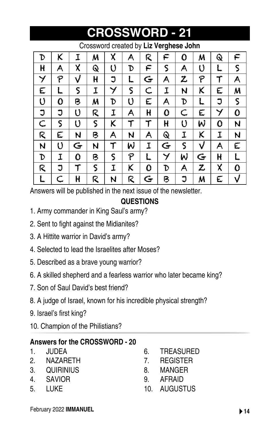| Crossword created by Liz Verghese John |             |             |              |             |   |             |   |   |   |   |   |
|----------------------------------------|-------------|-------------|--------------|-------------|---|-------------|---|---|---|---|---|
| D                                      | K           | I           | M            | X           | A | R           | ┡ | O | M | Q | F |
| Н                                      | A           | X           | Q            | U           | D | F           | ς | Α | U |   | S |
| ソ                                      | P           | V           | Н            | J           |   | Ġ           | A | z | P |   | A |
| E                                      |             | $\mathsf S$ | I            | Y           | ς | C           | I | N | Κ | E | M |
| U                                      | 0           | B           | M            | D           | U | E           | A | D |   | J | S |
| J                                      | J           | U           | R            | I           | A | H           | 0 | C | E | ソ | 0 |
| C                                      | $\mathsf S$ | U           | $\mathsf{S}$ | K           | T | T           | H | U | W | 0 | N |
| R                                      | E           | N           | B            | A           | N | A           | Q | I | K | I | N |
| N                                      | U           | Ġ           | N            | T           | W | I           | G | S | V | A | E |
| D                                      | I           | 0           | B            | $\mathsf S$ | P |             | Y | W | Ġ | Н |   |
| R                                      | J           | T           | S            | I           | K | 0           | D | Α | Z | X | 0 |
|                                        |             | H           | R            | N           | R | $\mathbf G$ | Β |   | M | E | V |

**CROSSWORD - 21**

Answers will be published in the next issue of the newsletter.

### **QUESTIONS**

- 1. Army commander in King Saul's army?
- 2. Sent to fight against the Midianites?
- 3. A Hittite warrior in David's army?
- 4. Selected to lead the Israelites after Moses?
- 5. Described as a brave young warrior?
- 6. A skilled shepherd and a fearless warrior who later became king?
- 7. Son of Saul David's best friend?
- 8. A judge of Israel, known for his incredible physical strength?
- 9. Israel's first king?
- 10. Champion of the Philistians?

### **Answers for the CROSSWORD - 20**

- 1. JUDEA
- 2. NAZARETH
- 3. QUIRINIUS
- 4. SAVIOR
- 5. LUKE
- 6. TREASURED
- 7. REGISTER
- 8. MANGER
- 9. AFRAID
- 10. AUGUSTUS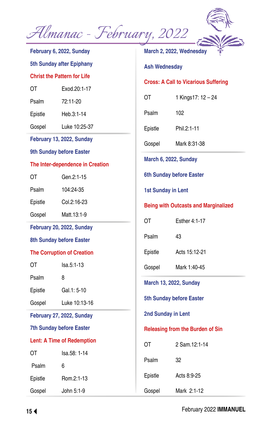

**February 6, 2022, Sunday 5th Sunday after Epiphany Christ the Pattern for Life**  OT Exod.20:1-17 Psalm 72:11-20 Epistle Heb.3:1-14 Gospel Luke 10:25-37 **February 13, 2022, Sunday 9th Sunday before Easter The Inter-dependence in Creation**  OT Gen.2:1-15 Psalm 104:24-35 Epistle Col.2:16-23 Gospel Matt.13:1-9 **February 20, 2022, Sunday 8th Sunday before Easter The Corruption of Creation** OT Isa.5:1-13 Psalm 8 Epistle Gal.1: 5-10 Gospel Luke 10:13-16 **February 27, 2022, Sunday 7th Sunday before Easter Lent: A Time of Redemption** OT Isa.58: 1-14 Psalm 6 Epistle Rom.2:1-13 Gospel John 5:1-9 **Ash Wednesday** Psalm 102 Epistle Phil.2:1-11 Gospel Mark 8:31-38 **March 6, 2022, Sunday 6th Sunday before Easter 1st Sunday in Lent**  OT Fsther 4:1-17 Psalm 43 Epistle Acts 15:12-21 Gospel Mark 1:40-45 **March 13, 2022, Sunday 5th Sunday before Easter 2nd Sunday in Lent** OT 2 Sam.12:1-14 Psalm 32 Epistle Acts 8:9-25 Gospel Mark 2:1-12

**March 2, 2022, Wednesday Cross: A Call to Vicarious Suffering** OT 1 Kings17: 12 – 24 **Being with Outcasts and Marginalized Releasing from the Burden of Sin**